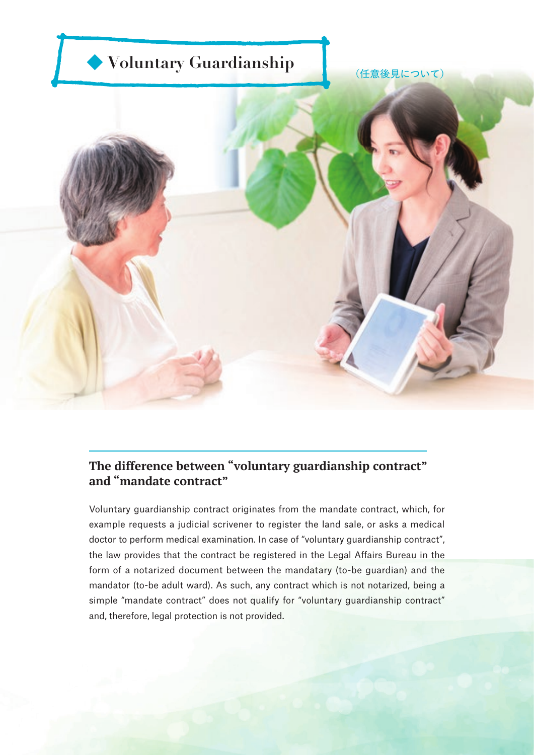

## **The difference between "voluntary guardianship contract" and "mandate contract"**

Voluntary guardianship contract originates from the mandate contract, which, for example requests a judicial scrivener to register the land sale, or asks a medical doctor to perform medical examination. In case of "voluntary guardianship contract", the law provides that the contract be registered in the Legal Affairs Bureau in the form of a notarized document between the mandatary (to-be guardian) and the mandator (to-be adult ward). As such, any contract which is not notarized, being a simple "mandate contract" does not qualify for "voluntary guardianship contract" and, therefore, legal protection is not provided.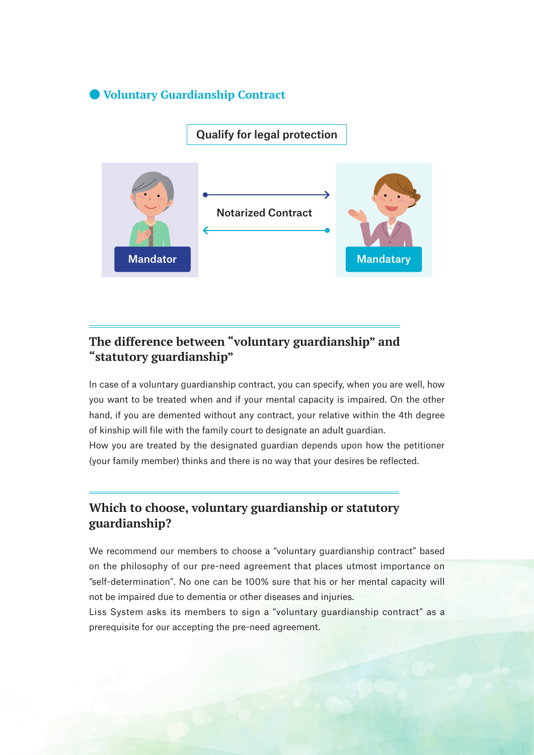#### ● **Voluntary Guardianship Contract**

## Qualify for legal protection



# **The difference between "voluntary guardianship" and "statutory guardianship"**

In case of a voluntary guardianship contract, you can specify, when you are well, how you want to be treated when and if your mental capacity is impaired. On the other hand, if you are demented without any contract, your relative within the 4th degree of kinship will file with the family court to designate an adult guardian.

How you are treated by the designated guardian depends upon how the petitioner (your family member) thinks and there is no way that your desires be reflected.

### **Which to choose, voluntary guardianship or statutory guardianship?**

We recommend our members to choose a "voluntary guardianship contract" based on the philosophy of our pre-need agreement that places utmost importance on "self-determination". No one can be 100% sure that his or her mental capacity will not be impaired due to dementia or other diseases and injuries.

Liss System asks its members to sign a "voluntary guardianship contract" as a prerequisite for our accepting the pre-need agreement.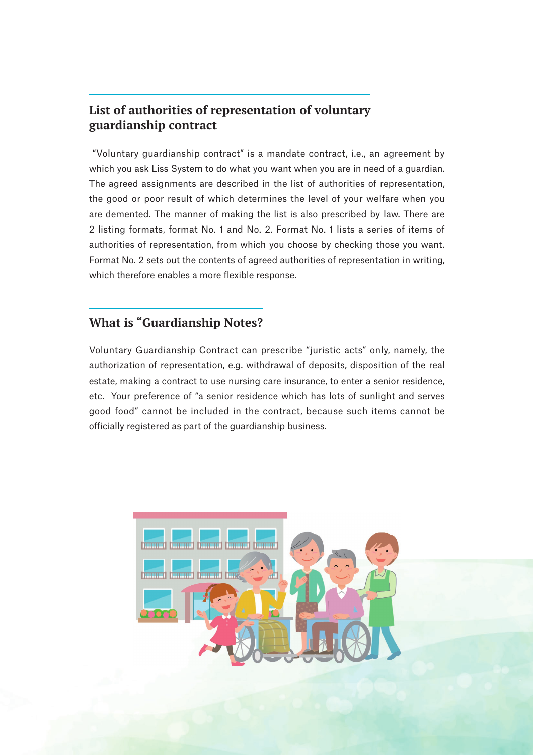## **List of authorities of representation of voluntary guardianship contract**

 "Voluntary guardianship contract" is a mandate contract, i.e., an agreement by which you ask Liss System to do what you want when you are in need of a guardian. The agreed assignments are described in the list of authorities of representation, the good or poor result of which determines the level of your welfare when you are demented. The manner of making the list is also prescribed by law. There are 2 listing formats, format No. 1 and No. 2. Format No. 1 lists a series of items of authorities of representation, from which you choose by checking those you want. Format No. 2 sets out the contents of agreed authorities of representation in writing, which therefore enables a more flexible response.

## **What is "Guardianship Notes?**

Voluntary Guardianship Contract can prescribe "juristic acts" only, namely, the authorization of representation, e.g. withdrawal of deposits, disposition of the real estate, making a contract to use nursing care insurance, to enter a senior residence, etc. Your preference of "a senior residence which has lots of sunlight and serves good food" cannot be included in the contract, because such items cannot be officially registered as part of the guardianship business.